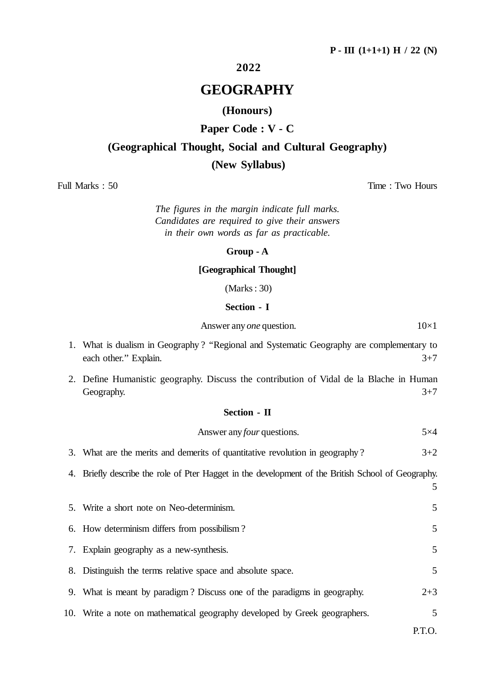## **2022**

# **GEOGRAPHY**

## **(Honours)**

## **Paper Code : V - C**

# **(Geographical Thought, Social and Cultural Geography)**

### **(New Syllabus)**

Full Marks : 50 Time : Two Hours

*The figures in the margin indicate full marks. Candidates are required to give their answers in their own words as far as practicable.*

#### **Group - A**

### **[Geographical Thought]**

(Marks : 30)

## **Section - I**

Answer any *one* question. 10×1

| 1. What is dualism in Geography? "Regional and Systematic Geography are complementary to |  |         |
|------------------------------------------------------------------------------------------|--|---------|
| each other." Explain.                                                                    |  | $3 + 7$ |

2. Define Humanistic geography. Discuss the contribution of Vidal de la Blache in Human Geography.  $3+7$ 

#### **Section - II**

### Answer any *four* questions. 5×4

|  |  |  | 3. What are the merits and demerits of quantitative revolution in geography? | $3 + 2$ |
|--|--|--|------------------------------------------------------------------------------|---------|
|  |  |  |                                                                              |         |

4. Briefly describe the role of Pter Hagget in the development of the British School of Geography.

5. Write a short note on Neo-determinism. 5 6. How determinism differs from possibilism ? 5 7. Explain geography as a new-synthesis. 5 8. Distinguish the terms relative space and absolute space. 5 9. What is meant by paradigm ? Discuss one of the paradigms in geography. 2+3 10. Write a note on mathematical geography developed by Greek geographers. 5

P.T.O.

5